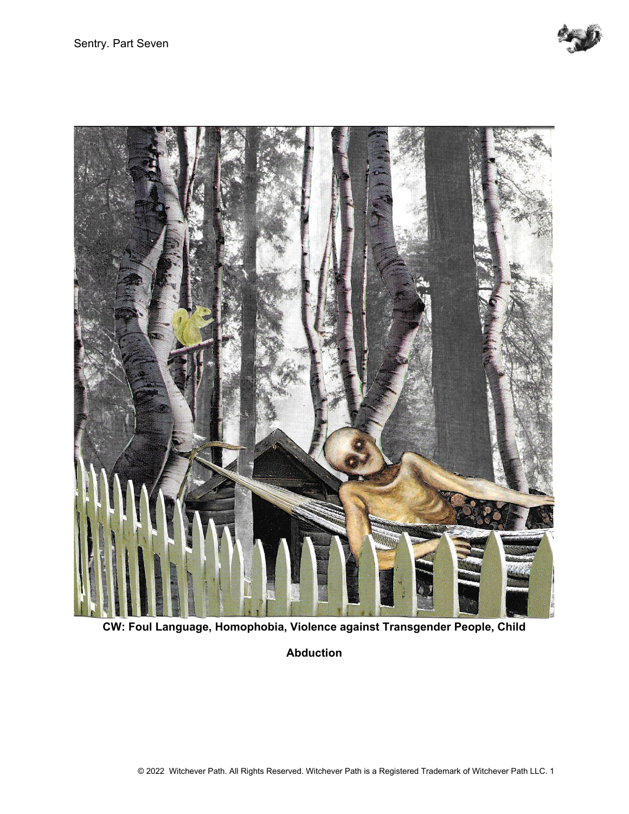



**CW: Foul Language, Homophobia, Violence against Transgender People, Child** 

**Abduction**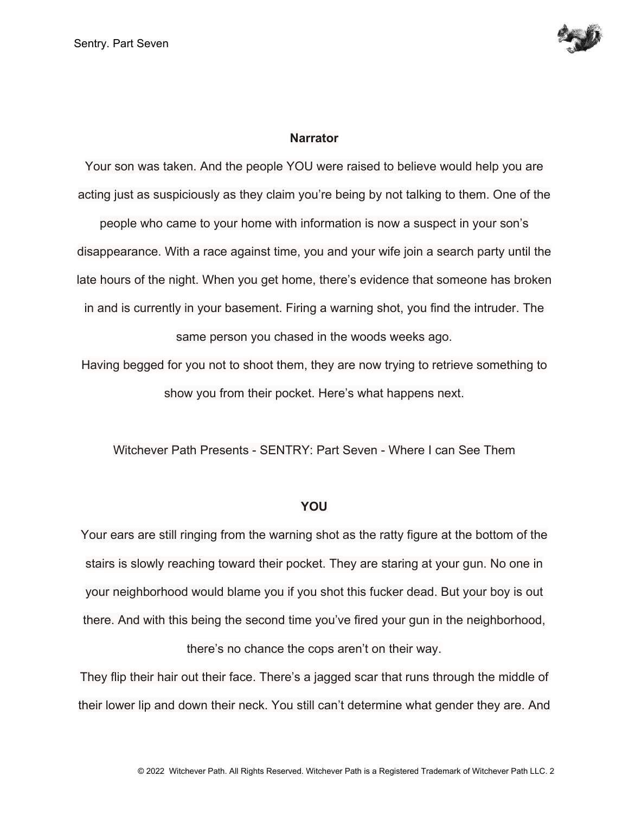

#### **Narrator**

Your son was taken. And the people YOU were raised to believe would help you are acting just as suspiciously as they claim you're being by not talking to them. One of the

people who came to your home with information is now a suspect in your son's disappearance. With a race against time, you and your wife join a search party until the late hours of the night. When you get home, there's evidence that someone has broken in and is currently in your basement. Firing a warning shot, you find the intruder. The same person you chased in the woods weeks ago.

Having begged for you not to shoot them, they are now trying to retrieve something to show you from their pocket. Here's what happens next.

Witchever Path Presents - SENTRY: Part Seven - Where I can See Them

#### **YOU**

Your ears are still ringing from the warning shot as the ratty figure at the bottom of the stairs is slowly reaching toward their pocket. They are staring at your gun. No one in your neighborhood would blame you if you shot this fucker dead. But your boy is out there. And with this being the second time you've fired your gun in the neighborhood,

there's no chance the cops aren't on their way.

They flip their hair out their face. There's a jagged scar that runs through the middle of their lower lip and down their neck. You still can't determine what gender they are. And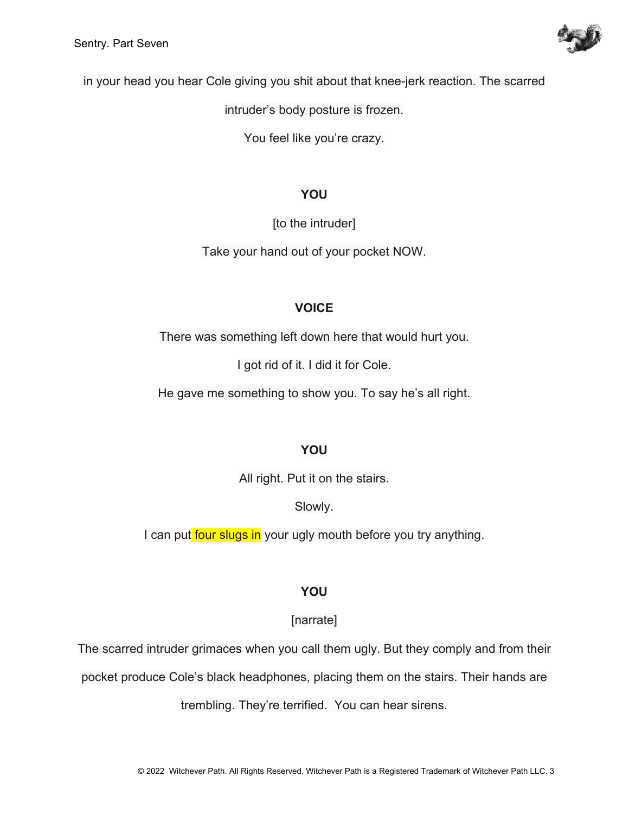

in your head you hear Cole giving you shit about that knee-jerk reaction. The scarred

intruder's body posture is frozen.

You feel like you're crazy.

# **YOU**

[to the intruder]

Take your hand out of your pocket NOW.

# **VOICE**

There was something left down here that would hurt you.

I got rid of it. I did it for Cole.

He gave me something to show you. To say he's all right.

# **YOU**

All right. Put it on the stairs.

Slowly.

I can put four slugs in your ugly mouth before you try anything.

# **YOU**

[narrate]

The scarred intruder grimaces when you call them ugly. But they comply and from their

pocket produce Cole's black headphones, placing them on the stairs. Their hands are

trembling. They're terrified. You can hear sirens.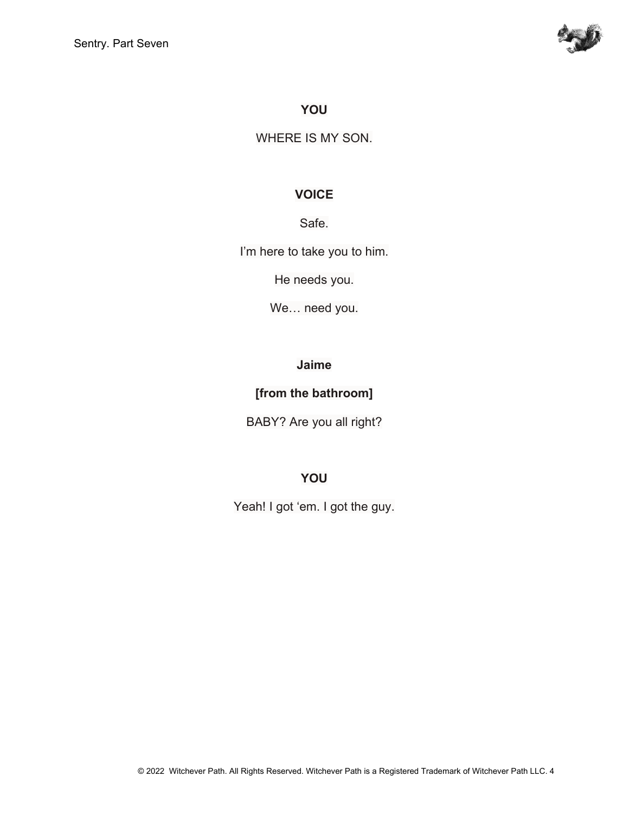

WHERE IS MY SON.

## **VOICE**

Safe.

I'm here to take you to him.

He needs you.

We… need you.

**Jaime**

# **[from the bathroom]**

BABY? Are you all right?

# **YOU**

Yeah! I got 'em. I got the guy.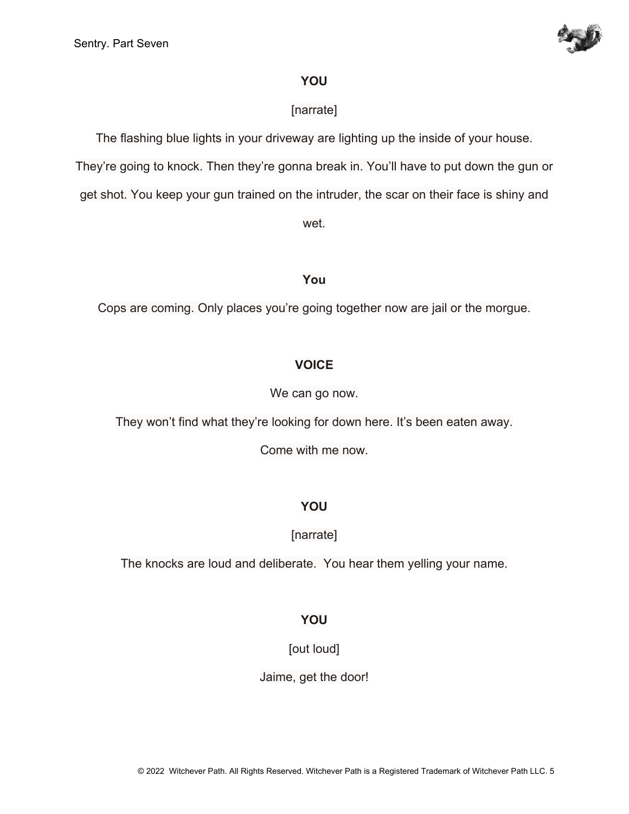

## [narrate]

The flashing blue lights in your driveway are lighting up the inside of your house. They're going to knock. Then they're gonna break in. You'll have to put down the gun or get shot. You keep your gun trained on the intruder, the scar on their face is shiny and

wet.

### **You**

Cops are coming. Only places you're going together now are jail or the morgue.

## **VOICE**

We can go now.

They won't find what they're looking for down here. It's been eaten away.

Come with me now.

## **YOU**

[narrate]

The knocks are loud and deliberate. You hear them yelling your name.

## **YOU**

[out loud]

Jaime, get the door!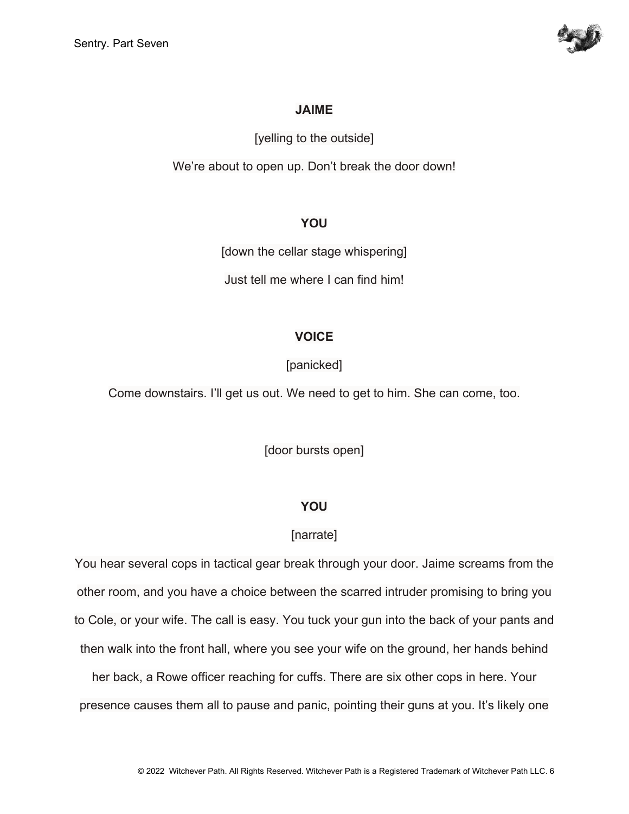

#### **JAIME**

[yelling to the outside]

We're about to open up. Don't break the door down!

#### **YOU**

[down the cellar stage whispering]

Just tell me where I can find him!

## **VOICE**

## [panicked]

Come downstairs. I'll get us out. We need to get to him. She can come, too.

[door bursts open]

## **YOU**

## [narrate]

You hear several cops in tactical gear break through your door. Jaime screams from the other room, and you have a choice between the scarred intruder promising to bring you to Cole, or your wife. The call is easy. You tuck your gun into the back of your pants and then walk into the front hall, where you see your wife on the ground, her hands behind

her back, a Rowe officer reaching for cuffs. There are six other cops in here. Your presence causes them all to pause and panic, pointing their guns at you. It's likely one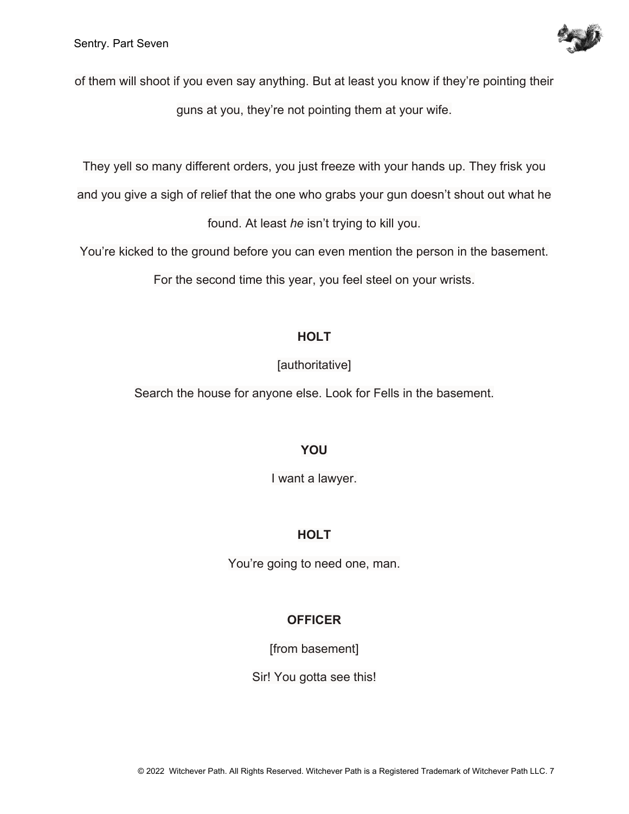

of them will shoot if you even say anything. But at least you know if they're pointing their guns at you, they're not pointing them at your wife.

They yell so many different orders, you just freeze with your hands up. They frisk you

and you give a sigh of relief that the one who grabs your gun doesn't shout out what he

found. At least *he* isn't trying to kill you.

You're kicked to the ground before you can even mention the person in the basement.

For the second time this year, you feel steel on your wrists.

# **HOLT**

[authoritative]

Search the house for anyone else. Look for Fells in the basement.

# **YOU**

I want a lawyer.

# **HOLT**

You're going to need one, man.

# **OFFICER**

[from basement]

Sir! You gotta see this!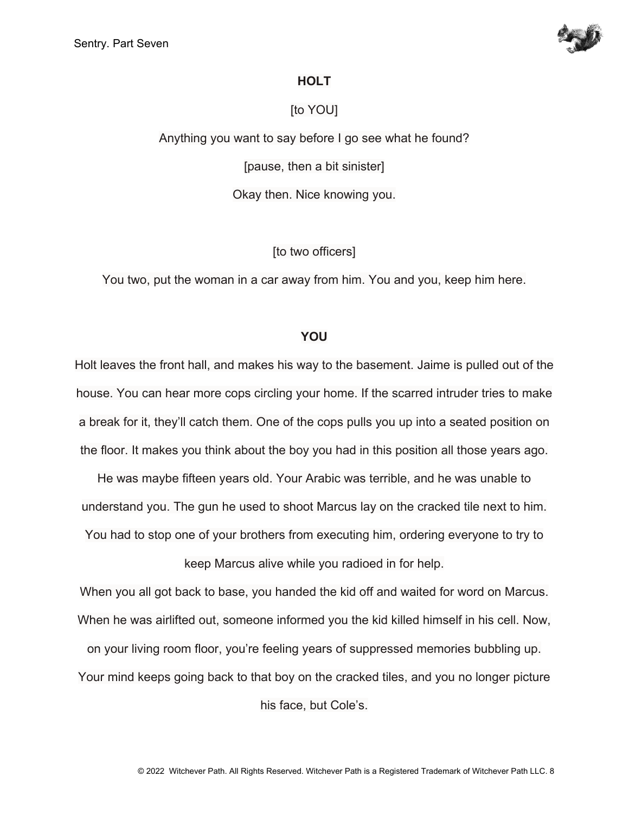

#### **HOLT**

#### [to YOU]

Anything you want to say before I go see what he found? [pause, then a bit sinister] Okay then. Nice knowing you.

[to two officers]

You two, put the woman in a car away from him. You and you, keep him here.

#### **YOU**

Holt leaves the front hall, and makes his way to the basement. Jaime is pulled out of the house. You can hear more cops circling your home. If the scarred intruder tries to make a break for it, they'll catch them. One of the cops pulls you up into a seated position on the floor. It makes you think about the boy you had in this position all those years ago.

He was maybe fifteen years old. Your Arabic was terrible, and he was unable to understand you. The gun he used to shoot Marcus lay on the cracked tile next to him. You had to stop one of your brothers from executing him, ordering everyone to try to

keep Marcus alive while you radioed in for help.

When you all got back to base, you handed the kid off and waited for word on Marcus. When he was airlifted out, someone informed you the kid killed himself in his cell. Now,

on your living room floor, you're feeling years of suppressed memories bubbling up.

Your mind keeps going back to that boy on the cracked tiles, and you no longer picture

his face, but Cole's.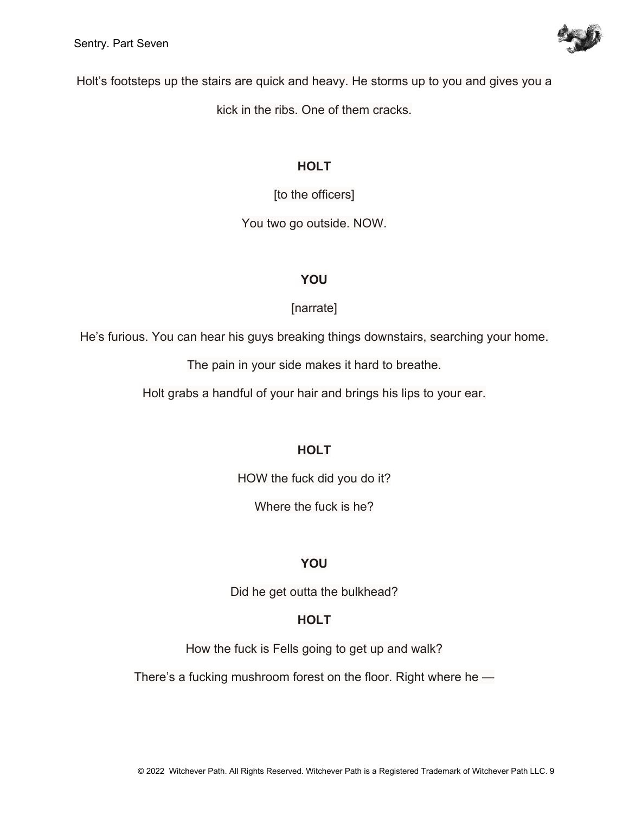

Holt's footsteps up the stairs are quick and heavy. He storms up to you and gives you a

kick in the ribs. One of them cracks.

# **HOLT**

[to the officers]

You two go outside. NOW.

# **YOU**

# [narrate]

He's furious. You can hear his guys breaking things downstairs, searching your home.

The pain in your side makes it hard to breathe.

Holt grabs a handful of your hair and brings his lips to your ear.

# **HOLT**

HOW the fuck did you do it?

Where the fuck is he?

# **YOU**

Did he get outta the bulkhead?

# **HOLT**

How the fuck is Fells going to get up and walk?

There's a fucking mushroom forest on the floor. Right where he —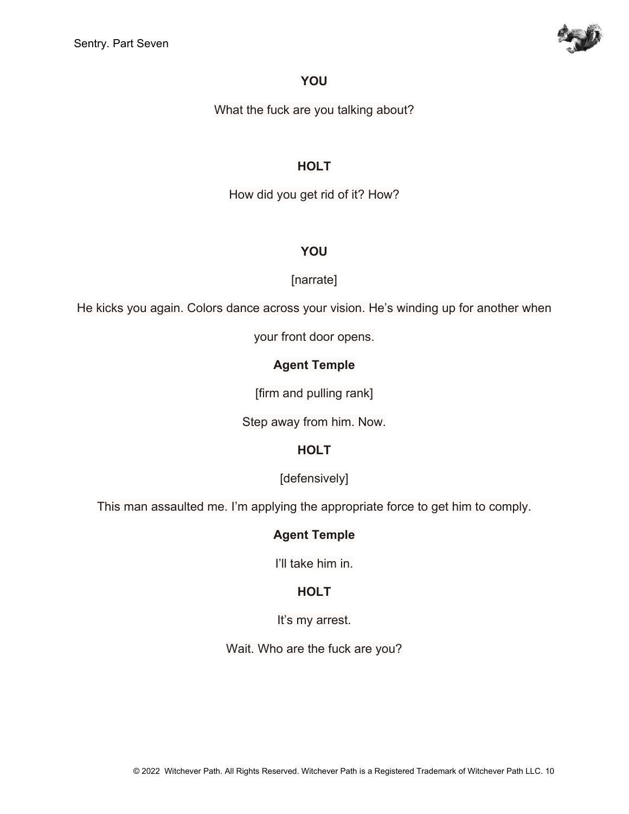

What the fuck are you talking about?

## **HOLT**

How did you get rid of it? How?

#### **YOU**

#### [narrate]

He kicks you again. Colors dance across your vision. He's winding up for another when

your front door opens.

## **Agent Temple**

[firm and pulling rank]

Step away from him. Now.

## **HOLT**

[defensively]

This man assaulted me. I'm applying the appropriate force to get him to comply.

#### **Agent Temple**

I'll take him in.

## **HOLT**

It's my arrest.

Wait. Who are the fuck are you?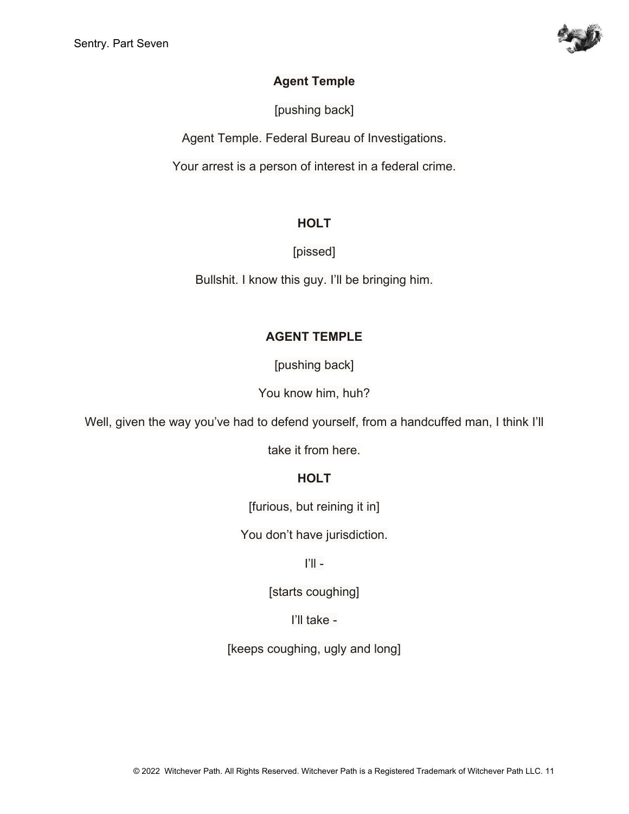

### [pushing back]

Agent Temple. Federal Bureau of Investigations.

Your arrest is a person of interest in a federal crime.

## **HOLT**

[pissed]

Bullshit. I know this guy. I'll be bringing him.

## **AGENT TEMPLE**

[pushing back]

You know him, huh?

Well, given the way you've had to defend yourself, from a handcuffed man, I think I'll

take it from here.

## **HOLT**

[furious, but reining it in]

You don't have jurisdiction.

 $||$   $||$   $-$ 

[starts coughing]

I'll take -

[keeps coughing, ugly and long]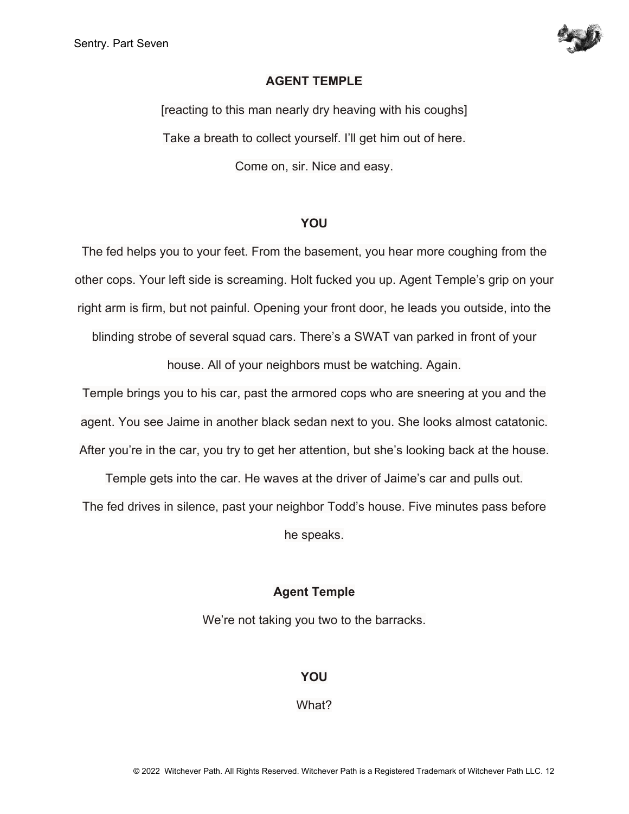

#### **AGENT TEMPLE**

[reacting to this man nearly dry heaving with his coughs] Take a breath to collect yourself. I'll get him out of here. Come on, sir. Nice and easy.

#### **YOU**

The fed helps you to your feet. From the basement, you hear more coughing from the other cops. Your left side is screaming. Holt fucked you up. Agent Temple's grip on your right arm is firm, but not painful. Opening your front door, he leads you outside, into the

blinding strobe of several squad cars. There's a SWAT van parked in front of your

house. All of your neighbors must be watching. Again.

Temple brings you to his car, past the armored cops who are sneering at you and the agent. You see Jaime in another black sedan next to you. She looks almost catatonic. After you're in the car, you try to get her attention, but she's looking back at the house.

Temple gets into the car. He waves at the driver of Jaime's car and pulls out. The fed drives in silence, past your neighbor Todd's house. Five minutes pass before

he speaks.

#### **Agent Temple**

We're not taking you two to the barracks.

**YOU**

What?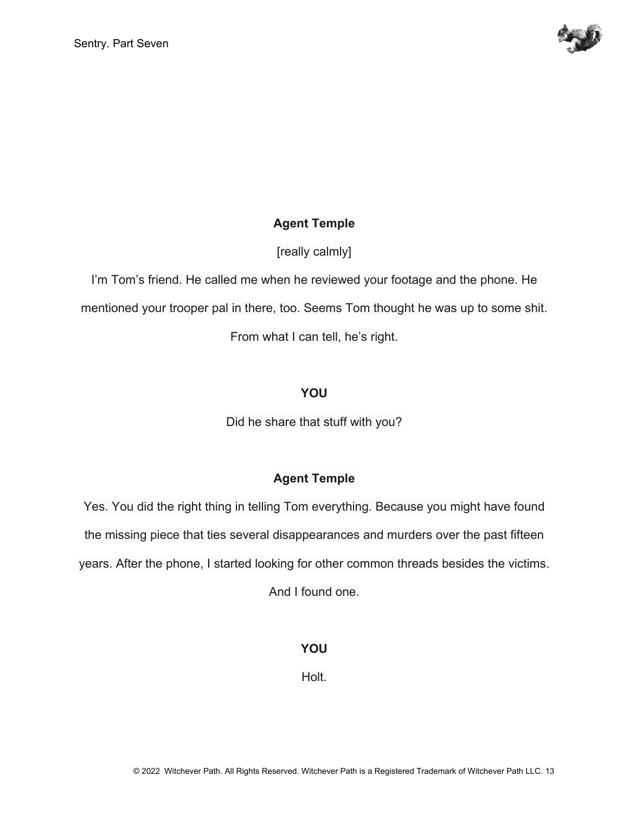

[really calmly]

I'm Tom's friend. He called me when he reviewed your footage and the phone. He mentioned your trooper pal in there, too. Seems Tom thought he was up to some shit.

From what I can tell, he's right.

### **YOU**

Did he share that stuff with you?

## **Agent Temple**

Yes. You did the right thing in telling Tom everything. Because you might have found the missing piece that ties several disappearances and murders over the past fifteen years. After the phone, I started looking for other common threads besides the victims. And I found one.

#### **YOU**

Holt.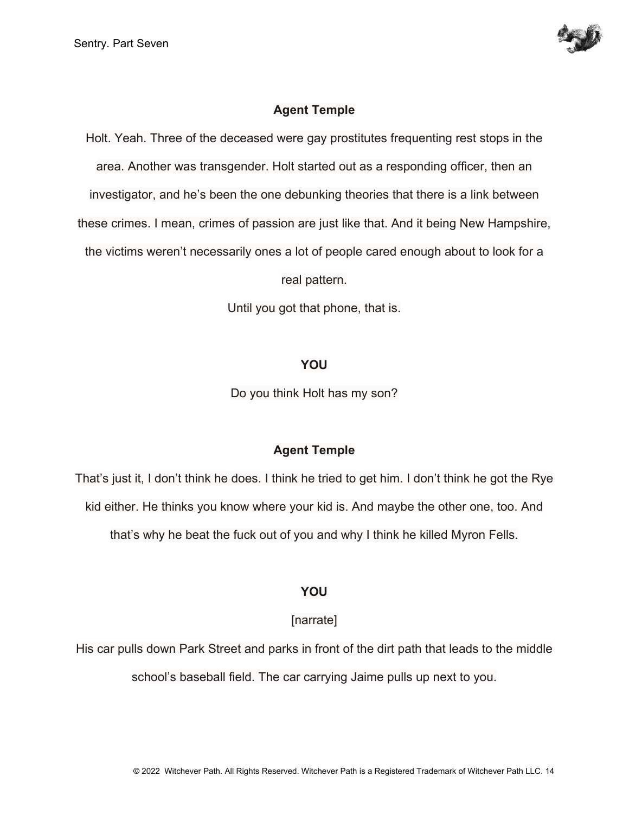

Holt. Yeah. Three of the deceased were gay prostitutes frequenting rest stops in the area. Another was transgender. Holt started out as a responding officer, then an investigator, and he's been the one debunking theories that there is a link between these crimes. I mean, crimes of passion are just like that. And it being New Hampshire, the victims weren't necessarily ones a lot of people cared enough about to look for a

real pattern.

Until you got that phone, that is.

#### **YOU**

Do you think Holt has my son?

#### **Agent Temple**

That's just it, I don't think he does. I think he tried to get him. I don't think he got the Rye kid either. He thinks you know where your kid is. And maybe the other one, too. And that's why he beat the fuck out of you and why I think he killed Myron Fells.

#### **YOU**

[narrate]

His car pulls down Park Street and parks in front of the dirt path that leads to the middle school's baseball field. The car carrying Jaime pulls up next to you.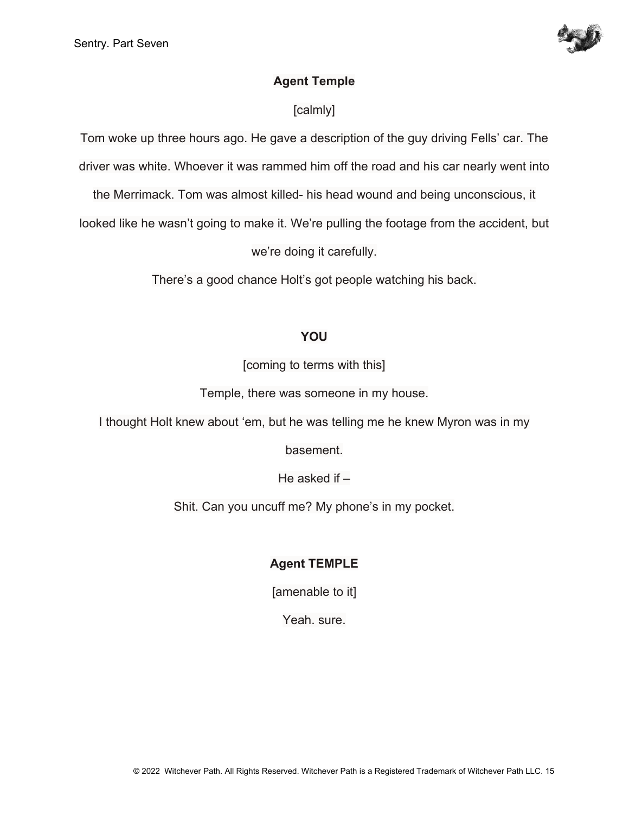

## [calmly]

Tom woke up three hours ago. He gave a description of the guy driving Fells' car. The

driver was white. Whoever it was rammed him off the road and his car nearly went into

the Merrimack. Tom was almost killed- his head wound and being unconscious, it

looked like he wasn't going to make it. We're pulling the footage from the accident, but

we're doing it carefully.

There's a good chance Holt's got people watching his back.

### **YOU**

[coming to terms with this]

Temple, there was someone in my house.

I thought Holt knew about 'em, but he was telling me he knew Myron was in my

basement.

He asked if –

Shit. Can you uncuff me? My phone's in my pocket.

# **Agent TEMPLE**

[amenable to it]

Yeah. sure.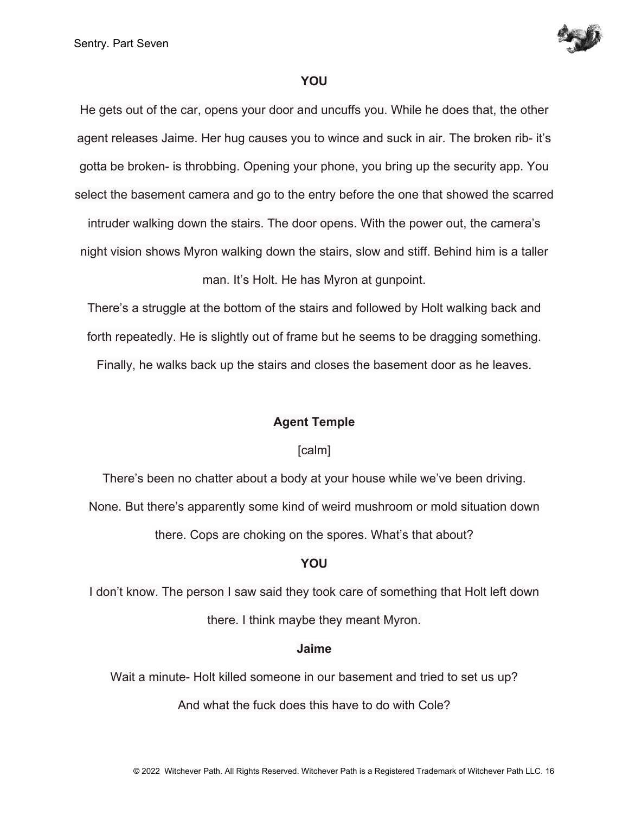

He gets out of the car, opens your door and uncuffs you. While he does that, the other agent releases Jaime. Her hug causes you to wince and suck in air. The broken rib- it's gotta be broken- is throbbing. Opening your phone, you bring up the security app. You select the basement camera and go to the entry before the one that showed the scarred

intruder walking down the stairs. The door opens. With the power out, the camera's night vision shows Myron walking down the stairs, slow and stiff. Behind him is a taller

#### man. It's Holt. He has Myron at gunpoint.

There's a struggle at the bottom of the stairs and followed by Holt walking back and forth repeatedly. He is slightly out of frame but he seems to be dragging something. Finally, he walks back up the stairs and closes the basement door as he leaves.

#### **Agent Temple**

#### [calm]

There's been no chatter about a body at your house while we've been driving. None. But there's apparently some kind of weird mushroom or mold situation down there. Cops are choking on the spores. What's that about?

#### **YOU**

I don't know. The person I saw said they took care of something that Holt left down there. I think maybe they meant Myron.

#### **Jaime**

Wait a minute- Holt killed someone in our basement and tried to set us up?

And what the fuck does this have to do with Cole?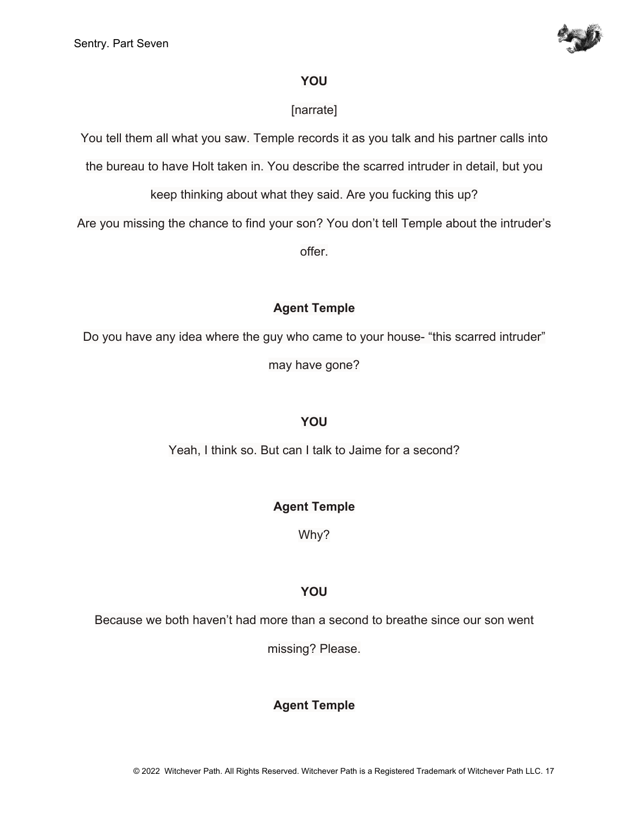

# [narrate]

You tell them all what you saw. Temple records it as you talk and his partner calls into

the bureau to have Holt taken in. You describe the scarred intruder in detail, but you

keep thinking about what they said. Are you fucking this up?

Are you missing the chance to find your son? You don't tell Temple about the intruder's

offer.

# **Agent Temple**

Do you have any idea where the guy who came to your house- "this scarred intruder"

may have gone?

# **YOU**

Yeah, I think so. But can I talk to Jaime for a second?

# **Agent Temple**

Why?

# **YOU**

Because we both haven't had more than a second to breathe since our son went

missing? Please.

# **Agent Temple**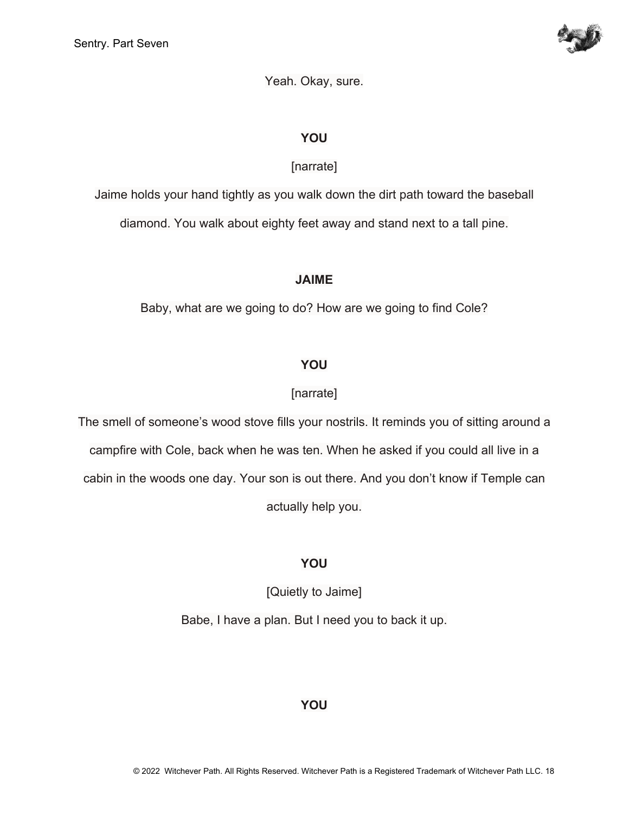

Yeah. Okay, sure.

### **YOU**

### [narrate]

Jaime holds your hand tightly as you walk down the dirt path toward the baseball

diamond. You walk about eighty feet away and stand next to a tall pine.

### **JAIME**

Baby, what are we going to do? How are we going to find Cole?

# **YOU**

# [narrate]

The smell of someone's wood stove fills your nostrils. It reminds you of sitting around a campfire with Cole, back when he was ten. When he asked if you could all live in a cabin in the woods one day. Your son is out there. And you don't know if Temple can actually help you.

## **YOU**

[Quietly to Jaime]

Babe, I have a plan. But I need you to back it up.

## **YOU**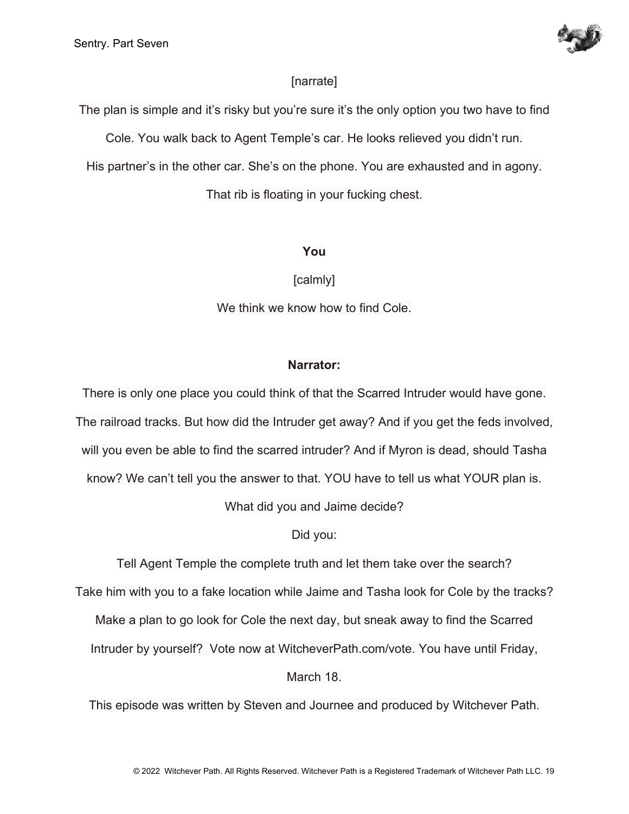

#### [narrate]

The plan is simple and it's risky but you're sure it's the only option you two have to find

Cole. You walk back to Agent Temple's car. He looks relieved you didn't run.

His partner's in the other car. She's on the phone. You are exhausted and in agony.

That rib is floating in your fucking chest.

#### **You**

[calmly]

We think we know how to find Cole.

### **Narrator:**

There is only one place you could think of that the Scarred Intruder would have gone. The railroad tracks. But how did the Intruder get away? And if you get the feds involved, will you even be able to find the scarred intruder? And if Myron is dead, should Tasha know? We can't tell you the answer to that. YOU have to tell us what YOUR plan is.

What did you and Jaime decide?

## Did you:

Tell Agent Temple the complete truth and let them take over the search?

Take him with you to a fake location while Jaime and Tasha look for Cole by the tracks?

Make a plan to go look for Cole the next day, but sneak away to find the Scarred

Intruder by yourself? Vote now at WitcheverPath.com/vote. You have until Friday,

March 18.

This episode was written by Steven and Journee and produced by Witchever Path.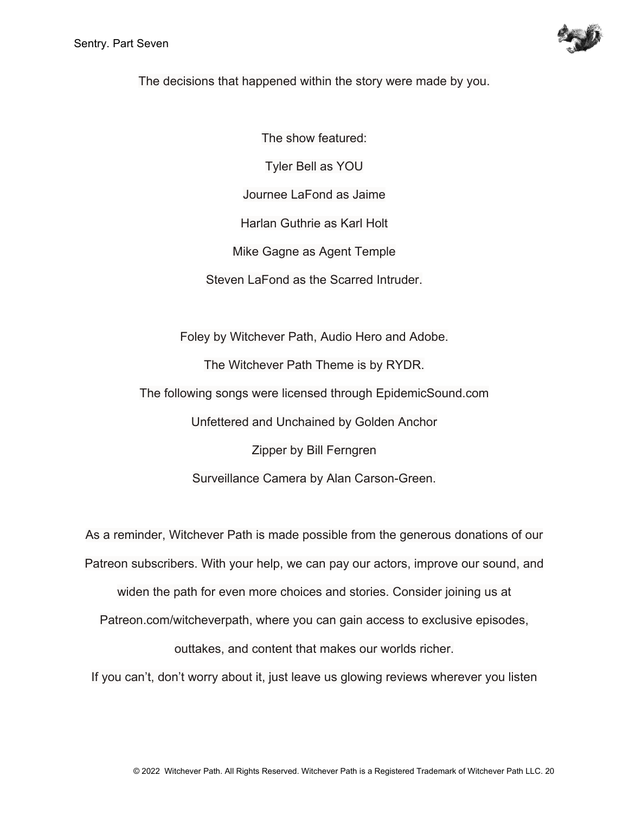

The decisions that happened within the story were made by you.

The show featured: Tyler Bell as YOU Journee LaFond as Jaime Harlan Guthrie as Karl Holt Mike Gagne as Agent Temple Steven LaFond as the Scarred Intruder.

Foley by Witchever Path, Audio Hero and Adobe.

The Witchever Path Theme is by RYDR.

The following songs were licensed through EpidemicSound.com

Unfettered and Unchained by Golden Anchor

Zipper by Bill Ferngren

Surveillance Camera by Alan Carson-Green.

As a reminder, Witchever Path is made possible from the generous donations of our Patreon subscribers. With your help, we can pay our actors, improve our sound, and widen the path for even more choices and stories. Consider joining us at Patreon.com/witcheverpath, where you can gain access to exclusive episodes, outtakes, and content that makes our worlds richer.

If you can't, don't worry about it, just leave us glowing reviews wherever you listen